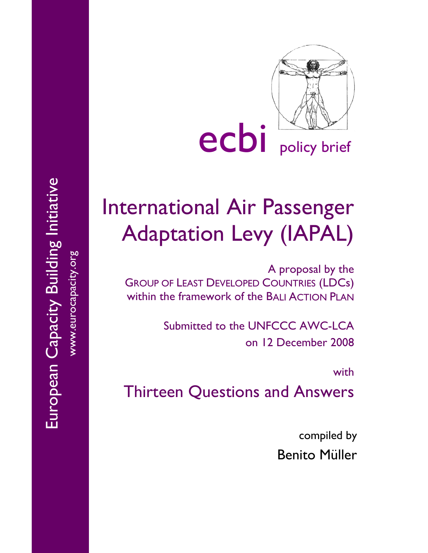

# International Air Passenger Adaptation Levy (IAPAL)

A proposal by the GROUP OF LEAST DEVELOPED COUNTRIES (LDCs) within the framework of the BALI ACTION PLAN

> Submitted to the UNFCCC AWC-LCA on 12 December 2008

> > with

Thirteen Questions and Answers

compiled by Benito Müller

www.eurocapacity.org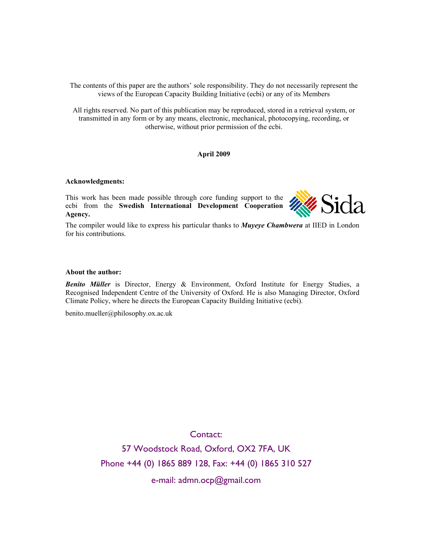The contents of this paper are the authors' sole responsibility. They do not necessarily represent the views of the European Capacity Building Initiative (ecbi) or any of its Members

All rights reserved. No part of this publication may be reproduced, stored in a retrieval system, or transmitted in any form or by any means, electronic, mechanical, photocopying, recording, or otherwise, without prior permission of the ecbi.

#### **April 2009**

#### **Acknowledgments:**

This work has been made possible through core funding support to the ecbi from the **Swedish International Development Cooperation Agency.** 



The compiler would like to express his particular thanks to *Muyeye Chambwera* at IIED in London for his contributions.

#### **About the author:**

*Benito Müller* is Director, Energy & Environment, Oxford Institute for Energy Studies, a Recognised Independent Centre of the University of Oxford. He is also Managing Director, Oxford Climate Policy, where he directs the European Capacity Building Initiative (ecbi).

benito.mueller@philosophy.ox.ac.uk

Contact:

57 Woodstock Road, Oxford, OX2 7FA, UK Phone +44 (0) 1865 889 128, Fax: +44 (0) 1865 310 527

e-mail: admn.ocp@gmail.com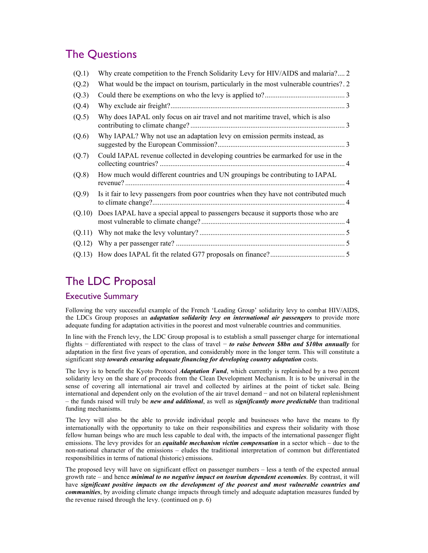# The Questions

| (Q.1)  | Why create competition to the French Solidarity Levy for HIV/AIDS and malaria? 2       |
|--------|----------------------------------------------------------------------------------------|
| (Q.2)  | What would be the impact on tourism, particularly in the most vulnerable countries? 2. |
| (Q.3)  |                                                                                        |
| (Q.4)  |                                                                                        |
| (Q.5)  | Why does IAPAL only focus on air travel and not maritime travel, which is also         |
| (Q.6)  | Why IAPAL? Why not use an adaptation levy on emission permits instead, as              |
| (Q.7)  | Could IAPAL revenue collected in developing countries be earmarked for use in the      |
| (Q.8)  | How much would different countries and UN groupings be contributing to IAPAL           |
| (Q.9)  | Is it fair to levy passengers from poor countries when they have not contributed much  |
| (Q.10) | Does IAPAL have a special appeal to passengers because it supports those who are       |
| (Q.11) |                                                                                        |
| (Q.12) |                                                                                        |
|        |                                                                                        |

# The LDC Proposal

#### Executive Summary

Following the very successful example of the French 'Leading Group' solidarity levy to combat HIV/AIDS, the LDCs Group proposes an *adaptation solidarity levy on international air passengers* to provide more adequate funding for adaptation activities in the poorest and most vulnerable countries and communities.

In line with the French levy, the LDC Group proposal is to establish a small passenger charge for international flights − differentiated with respect to the class of travel − *to raise between \$8bn and \$10bn annually* for adaptation in the first five years of operation, and considerably more in the longer term. This will constitute a significant step *towards ensuring adequate financing for developing country adaptation* costs.

The levy is to benefit the Kyoto Protocol *Adaptation Fund*, which currently is replenished by a two percent solidarity levy on the share of proceeds from the Clean Development Mechanism. It is to be universal in the sense of covering all international air travel and collected by airlines at the point of ticket sale. Being international and dependent only on the evolution of the air travel demand − and not on bilateral replenishment – the funds raised will truly be *new and additional*, as well as *significantly more predictable* than traditional funding mechanisms.

The levy will also be the able to provide individual people and businesses who have the means to fly internationally with the opportunity to take on their responsibilities and express their solidarity with those fellow human beings who are much less capable to deal with, the impacts of the international passenger flight emissions. The levy provides for an *equitable mechanism victim compensation* in a sector which – due to the non-national character of the emissions – eludes the traditional interpretation of common but differentiated responsibilities in terms of national (historic) emissions.

The proposed levy will have on significant effect on passenger numbers – less a tenth of the expected annual growth rate – and hence *minimal to no negative impact on tourism dependent economies*. By contrast, it will have *significant positive impacts on the development of the poorest and most vulnerable countries and communities*, by avoiding climate change impacts through timely and adequate adaptation measures funded by the revenue raised through the levy. (continued on p. 6)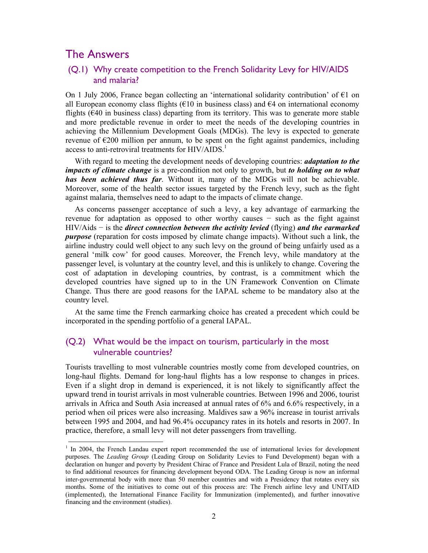## The Answers

 $\overline{a}$ 

#### (Q.1) Why create competition to the French Solidarity Levy for HIV/AIDS and malaria?

On 1 July 2006, France began collecting an 'international solidarity contribution' of  $\epsilon$ 1 on all European economy class flights ( $\epsilon$ 10 in business class) and  $\epsilon$ 4 on international economy flights ( $\epsilon$ 40 in business class) departing from its territory. This was to generate more stable and more predictable revenue in order to meet the needs of the developing countries in achieving the Millennium Development Goals (MDGs). The levy is expected to generate revenue of  $\epsilon$ 200 million per annum, to be spent on the fight against pandemics, including access to anti-retroviral treatments for HIV/AIDS.<sup>1</sup>

With regard to meeting the development needs of developing countries: *adaptation to the impacts of climate change* is a pre-condition not only to growth, but *to holding on to what has been achieved thus far*. Without it, many of the MDGs will not be achievable. Moreover, some of the health sector issues targeted by the French levy, such as the fight against malaria, themselves need to adapt to the impacts of climate change.

As concerns passenger acceptance of such a levy, a key advantage of earmarking the revenue for adaptation as opposed to other worthy causes − such as the fight against HIV/Aids − is the *direct connection between the activity levied* (flying) *and the earmarked purpose* (reparation for costs imposed by climate change impacts). Without such a link, the airline industry could well object to any such levy on the ground of being unfairly used as a general 'milk cow' for good causes. Moreover, the French levy, while mandatory at the passenger level, is voluntary at the country level, and this is unlikely to change. Covering the cost of adaptation in developing countries, by contrast, is a commitment which the developed countries have signed up to in the UN Framework Convention on Climate Change. Thus there are good reasons for the IAPAL scheme to be mandatory also at the country level.

At the same time the French earmarking choice has created a precedent which could be incorporated in the spending portfolio of a general IAPAL.

#### (Q.2) What would be the impact on tourism, particularly in the most vulnerable countries?

Tourists travelling to most vulnerable countries mostly come from developed countries, on long-haul flights. Demand for long-haul flights has a low response to changes in prices. Even if a slight drop in demand is experienced, it is not likely to significantly affect the upward trend in tourist arrivals in most vulnerable countries. Between 1996 and 2006, tourist arrivals in Africa and South Asia increased at annual rates of 6% and 6.6% respectively, in a period when oil prices were also increasing. Maldives saw a 96% increase in tourist arrivals between 1995 and 2004, and had 96.4% occupancy rates in its hotels and resorts in 2007. In practice, therefore, a small levy will not deter passengers from travelling.

<sup>&</sup>lt;sup>1</sup> In 2004, the French Landau expert report recommended the use of international levies for development purposes. The *Leading Group* (Leading Group on Solidarity Levies to Fund Development) began with a declaration on hunger and poverty by President Chirac of France and President Lula of Brazil, noting the need to find additional resources for financing development beyond ODA. The Leading Group is now an informal inter-governmental body with more than 50 member countries and with a Presidency that rotates every six months. Some of the initiatives to come out of this process are: The French airline levy and UNITAID (implemented), the International Finance Facility for Immunization (implemented), and further innovative financing and the environment (studies).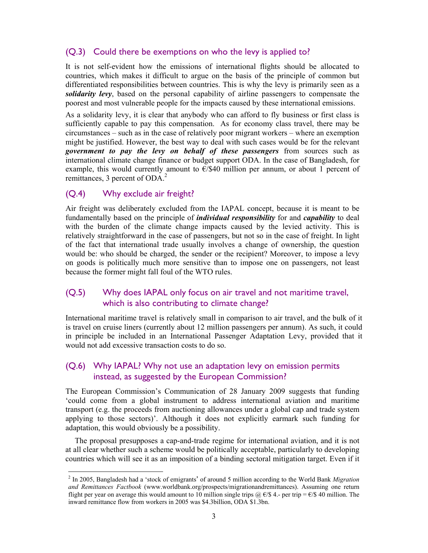#### (Q.3) Could there be exemptions on who the levy is applied to?

It is not self-evident how the emissions of international flights should be allocated to countries, which makes it difficult to argue on the basis of the principle of common but differentiated responsibilities between countries. This is why the levy is primarily seen as a *solidarity levy*, based on the personal capability of airline passengers to compensate the poorest and most vulnerable people for the impacts caused by these international emissions.

As a solidarity levy, it is clear that anybody who can afford to fly business or first class is sufficiently capable to pay this compensation. As for economy class travel, there may be circumstances – such as in the case of relatively poor migrant workers – where an exemption might be justified. However, the best way to deal with such cases would be for the relevant *government to pay the levy on behalf of these passengers* from sources such as international climate change finance or budget support ODA. In the case of Bangladesh, for example, this would currently amount to  $E/\$40$  million per annum, or about 1 percent of remittances, 3 percent of ODA.<sup>2</sup>

#### (Q.4) Why exclude air freight?

 $\overline{a}$ 

Air freight was deliberately excluded from the IAPAL concept, because it is meant to be fundamentally based on the principle of *individual responsibility* for and *capability* to deal with the burden of the climate change impacts caused by the levied activity. This is relatively straightforward in the case of passengers, but not so in the case of freight. In light of the fact that international trade usually involves a change of ownership, the question would be: who should be charged, the sender or the recipient? Moreover, to impose a levy on goods is politically much more sensitive than to impose one on passengers, not least because the former might fall foul of the WTO rules.

#### (Q.5) Why does IAPAL only focus on air travel and not maritime travel, which is also contributing to climate change?

International maritime travel is relatively small in comparison to air travel, and the bulk of it is travel on cruise liners (currently about 12 million passengers per annum). As such, it could in principle be included in an International Passenger Adaptation Levy, provided that it would not add excessive transaction costs to do so.

#### (Q.6) Why IAPAL? Why not use an adaptation levy on emission permits instead, as suggested by the European Commission?

The European Commission's Communication of 28 January 2009 suggests that funding 'could come from a global instrument to address international aviation and maritime transport (e.g. the proceeds from auctioning allowances under a global cap and trade system applying to those sectors)'. Although it does not explicitly earmark such funding for adaptation, this would obviously be a possibility.

The proposal presupposes a cap-and-trade regime for international aviation, and it is not at all clear whether such a scheme would be politically acceptable, particularly to developing countries which will see it as an imposition of a binding sectoral mitigation target. Even if it

<sup>2</sup> In 2005, Bangladesh had a 'stock of emigrants' of around 5 million according to the World Bank *Migration and Remittances Factbook* (www.worldbank.org/prospects/migrationandremittances). Assuming one return flight per year on average this would amount to 10 million single trips  $\hat{\omega}$   $\in$   $\hat{\mathcal{S}}$  4.- per trip =  $\hat{\epsilon}/\hat{\mathcal{S}}$  40 million. The inward remittance flow from workers in 2005 was \$4.3billion, ODA \$1.3bn.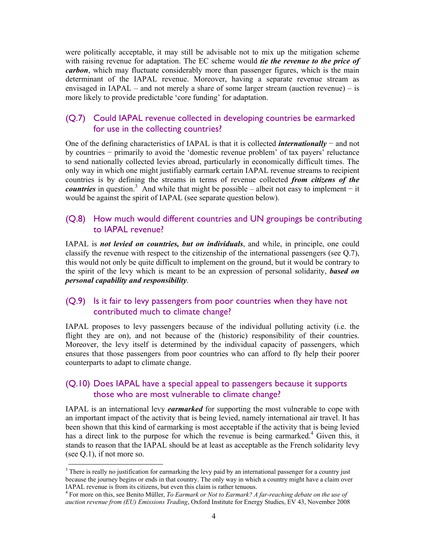were politically acceptable, it may still be advisable not to mix up the mitigation scheme with raising revenue for adaptation. The EC scheme would *tie the revenue to the price of carbon*, which may fluctuate considerably more than passenger figures, which is the main determinant of the IAPAL revenue. Moreover, having a separate revenue stream as envisaged in IAPAL – and not merely a share of some larger stream (auction revenue) – is more likely to provide predictable 'core funding' for adaptation.

#### (Q.7) Could IAPAL revenue collected in developing countries be earmarked for use in the collecting countries?

One of the defining characteristics of IAPAL is that it is collected *internationally* − and not by countries − primarily to avoid the 'domestic revenue problem' of tax payers' reluctance to send nationally collected levies abroad, particularly in economically difficult times. The only way in which one might justifiably earmark certain IAPAL revenue streams to recipient countries is by defining the streams in terms of revenue collected *from citizens of the countries* in question.<sup>3</sup> And while that might be possible – albeit not easy to implement – it would be against the spirit of IAPAL (see separate question below).

#### (Q.8) How much would different countries and UN groupings be contributing to IAPAL revenue?

IAPAL is *not levied on countries, but on individuals*, and while, in principle, one could classify the revenue with respect to the citizenship of the international passengers (see Q.7), this would not only be quite difficult to implement on the ground, but it would be contrary to the spirit of the levy which is meant to be an expression of personal solidarity, *based on personal capability and responsibility*.

#### (Q.9) Is it fair to levy passengers from poor countries when they have not contributed much to climate change?

IAPAL proposes to levy passengers because of the individual polluting activity (i.e. the flight they are on), and not because of the (historic) responsibility of their countries. Moreover, the levy itself is determined by the individual capacity of passengers, which ensures that those passengers from poor countries who can afford to fly help their poorer counterparts to adapt to climate change.

#### (Q.10) Does IAPAL have a special appeal to passengers because it supports those who are most vulnerable to climate change?

IAPAL is an international levy *earmarked* for supporting the most vulnerable to cope with an important impact of the activity that is being levied, namely international air travel. It has been shown that this kind of earmarking is most acceptable if the activity that is being levied has a direct link to the purpose for which the revenue is being earmarked.<sup>4</sup> Given this, it stands to reason that the IAPAL should be at least as acceptable as the French solidarity levy (see Q.1), if not more so.

 $\overline{a}$  $3$  There is really no justification for earmarking the levy paid by an international passenger for a country just because the journey begins or ends in that country. The only way in which a country might have a claim over IAPAL revenue is from its citizens, but even this claim is rather tenuous.

<sup>4</sup> For more on this, see Benito Müller, *To Earmark or Not to Earmark? A far-reaching debate on the use of auction revenue from (EU) Emissions Trading*, Oxford Institute for Energy Studies, EV 43, November 2008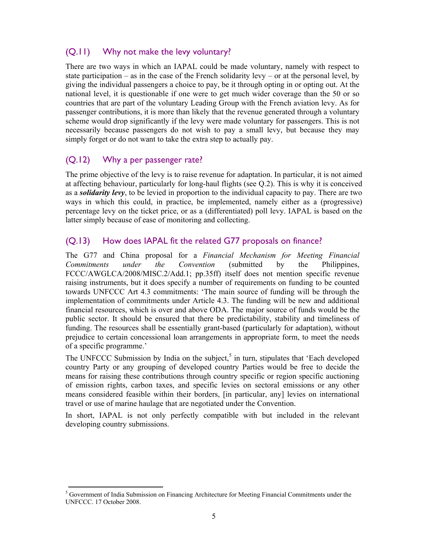### (Q.11) Why not make the levy voluntary?

There are two ways in which an IAPAL could be made voluntary, namely with respect to state participation – as in the case of the French solidarity levy – or at the personal level, by giving the individual passengers a choice to pay, be it through opting in or opting out. At the national level, it is questionable if one were to get much wider coverage than the 50 or so countries that are part of the voluntary Leading Group with the French aviation levy. As for passenger contributions, it is more than likely that the revenue generated through a voluntary scheme would drop significantly if the levy were made voluntary for passengers. This is not necessarily because passengers do not wish to pay a small levy, but because they may simply forget or do not want to take the extra step to actually pay.

#### (Q.12) Why a per passenger rate?

The prime objective of the levy is to raise revenue for adaptation. In particular, it is not aimed at affecting behaviour, particularly for long-haul flights (see Q.2). This is why it is conceived as a *solidarity levy*, to be levied in proportion to the individual capacity to pay. There are two ways in which this could, in practice, be implemented, namely either as a (progressive) percentage levy on the ticket price, or as a (differentiated) poll levy. IAPAL is based on the latter simply because of ease of monitoring and collecting.

#### (Q.13) How does IAPAL fit the related G77 proposals on finance?

The G77 and China proposal for a *Financial Mechanism for Meeting Financial Commitments under the Convention* (submitted by the Philippines, FCCC/AWGLCA/2008/MISC.2/Add.1; pp.35ff) itself does not mention specific revenue raising instruments, but it does specify a number of requirements on funding to be counted towards UNFCCC Art 4.3 commitments: 'The main source of funding will be through the implementation of commitments under Article 4.3. The funding will be new and additional financial resources, which is over and above ODA. The major source of funds would be the public sector. It should be ensured that there be predictability, stability and timeliness of funding. The resources shall be essentially grant-based (particularly for adaptation), without prejudice to certain concessional loan arrangements in appropriate form, to meet the needs of a specific programme.'

The UNFCCC Submission by India on the subject, $5$  in turn, stipulates that 'Each developed country Party or any grouping of developed country Parties would be free to decide the means for raising these contributions through country specific or region specific auctioning of emission rights, carbon taxes, and specific levies on sectoral emissions or any other means considered feasible within their borders, [in particular, any] levies on international travel or use of marine haulage that are negotiated under the Convention.

In short, IAPAL is not only perfectly compatible with but included in the relevant developing country submissions.

 $\overline{a}$ <sup>5</sup> Government of India Submission on Financing Architecture for Meeting Financial Commitments under the UNFCCC. 17 October 2008.